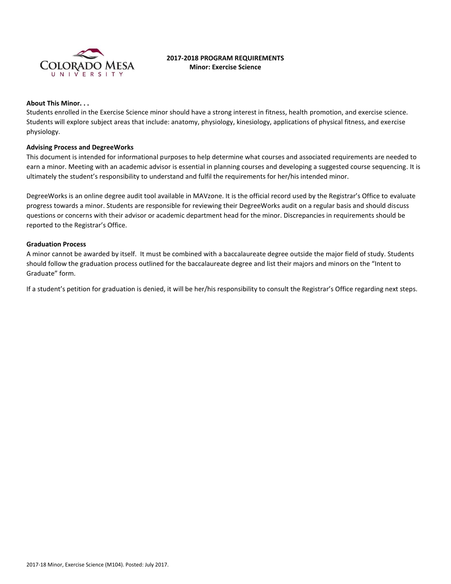

# **2017-2018 PROGRAM REQUIREMENTS Minor: Exercise Science**

#### **About This Minor. . .**

Students enrolled in the Exercise Science minor should have a strong interest in fitness, health promotion, and exercise science. Students will explore subject areas that include: anatomy, physiology, kinesiology, applications of physical fitness, and exercise physiology.

#### **Advising Process and DegreeWorks**

This document is intended for informational purposes to help determine what courses and associated requirements are needed to earn a minor. Meeting with an academic advisor is essential in planning courses and developing a suggested course sequencing. It is ultimately the student's responsibility to understand and fulfil the requirements for her/his intended minor.

DegreeWorks is an online degree audit tool available in MAVzone. It is the official record used by the Registrar's Office to evaluate progress towards a minor. Students are responsible for reviewing their DegreeWorks audit on a regular basis and should discuss questions or concerns with their advisor or academic department head for the minor. Discrepancies in requirements should be reported to the Registrar's Office.

### **Graduation Process**

A minor cannot be awarded by itself. It must be combined with a baccalaureate degree outside the major field of study. Students should follow the graduation process outlined for the baccalaureate degree and list their majors and minors on the "Intent to Graduate" form.

If a student's petition for graduation is denied, it will be her/his responsibility to consult the Registrar's Office regarding next steps.